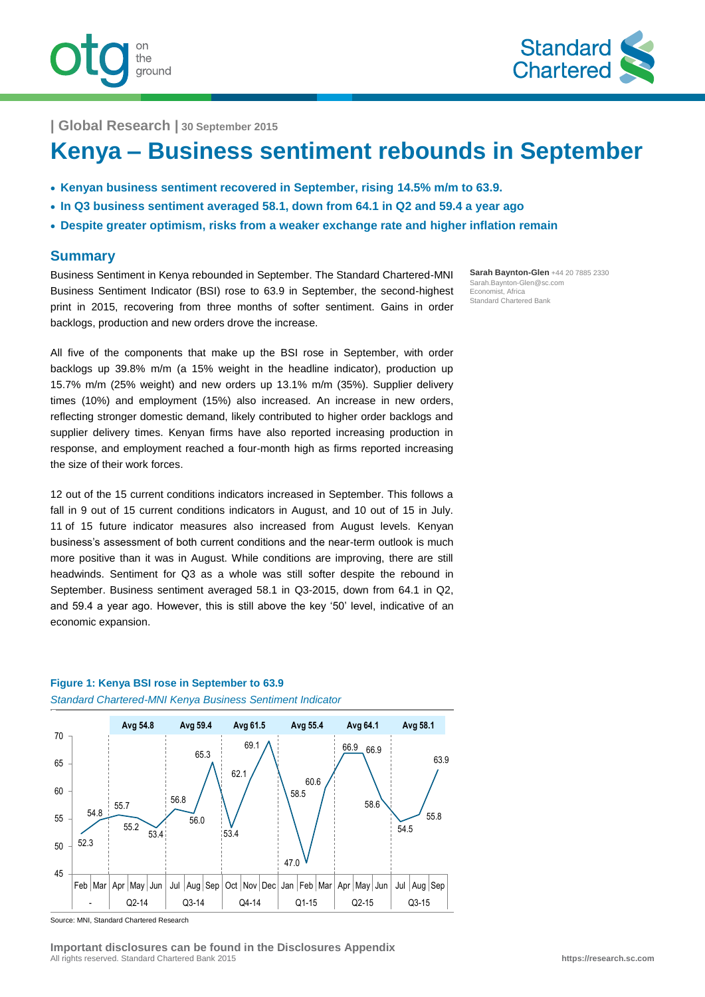



**| Global Research | 30 September 2015**

# **Kenya – Business sentiment rebounds in September**

- **Kenyan business sentiment recovered in September, rising 14.5% m/m to 63.9.**
- **In Q3 business sentiment averaged 58.1, down from 64.1 in Q2 and 59.4 a year ago**
- **Despite greater optimism, risks from a weaker exchange rate and higher inflation remain**

#### **Summary**

Business Sentiment in Kenya rebounded in September. The Standard Chartered-MNI Business Sentiment Indicator (BSI) rose to 63.9 in September, the second-highest print in 2015, recovering from three months of softer sentiment. Gains in order backlogs, production and new orders drove the increase.

All five of the components that make up the BSI rose in September, with order backlogs up 39.8% m/m (a 15% weight in the headline indicator), production up 15.7% m/m (25% weight) and new orders up 13.1% m/m (35%). Supplier delivery times (10%) and employment (15%) also increased. An increase in new orders, reflecting stronger domestic demand, likely contributed to higher order backlogs and supplier delivery times. Kenyan firms have also reported increasing production in response, and employment reached a four-month high as firms reported increasing the size of their work forces.

12 out of the 15 current conditions indicators increased in September. This follows a fall in 9 out of 15 current conditions indicators in August, and 10 out of 15 in July. 11 of 15 future indicator measures also increased from August levels. Kenyan business's assessment of both current conditions and the near-term outlook is much more positive than it was in August. While conditions are improving, there are still headwinds. Sentiment for Q3 as a whole was still softer despite the rebound in September. Business sentiment averaged 58.1 in Q3-2015, down from 64.1 in Q2, and 59.4 a year ago. However, this is still above the key '50' level, indicative of an economic expansion.



#### **Figure 1: Kenya BSI rose in September to 63.9** *Standard Chartered-MNI Kenya Business Sentiment Indicator*

Source: MNI, Standard Chartered Research

**Sarah Baynton-Glen** +44 20 7885 2330 Sarah.Baynton-Glen@sc.com Economist, Africa Standard Chartered Bank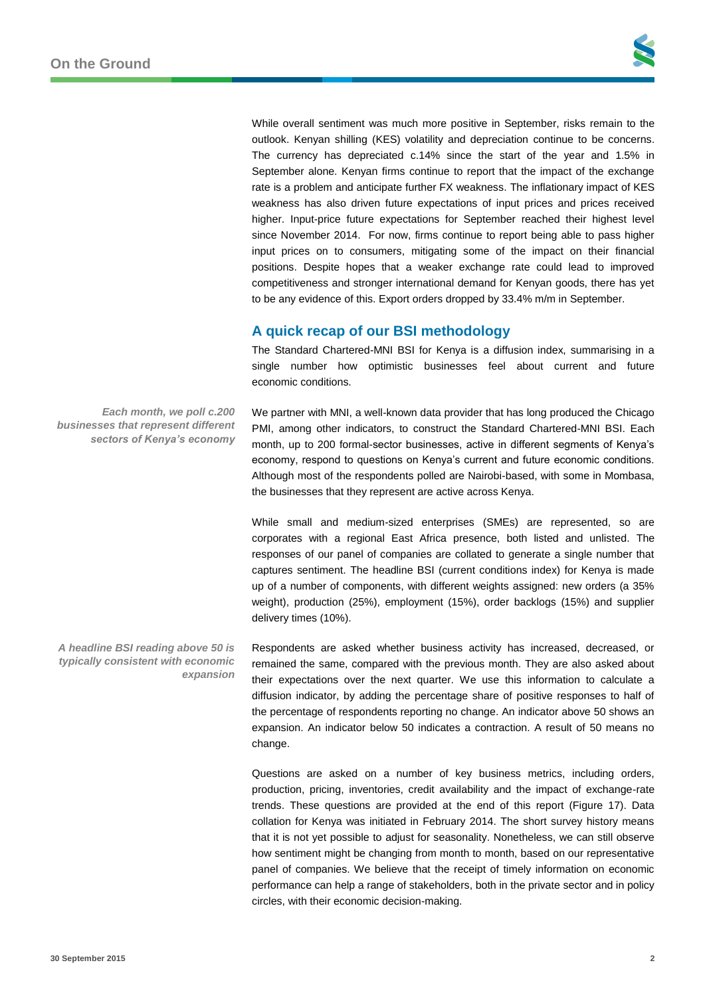While overall sentiment was much more positive in September, risks remain to the outlook. Kenyan shilling (KES) volatility and depreciation continue to be concerns. The currency has depreciated c.14% since the start of the year and 1.5% in September alone. Kenyan firms continue to report that the impact of the exchange rate is a problem and anticipate further FX weakness. The inflationary impact of KES weakness has also driven future expectations of input prices and prices received higher. Input-price future expectations for September reached their highest level since November 2014. For now, firms continue to report being able to pass higher input prices on to consumers, mitigating some of the impact on their financial positions. Despite hopes that a weaker exchange rate could lead to improved competitiveness and stronger international demand for Kenyan goods, there has yet to be any evidence of this. Export orders dropped by 33.4% m/m in September.

# **A quick recap of our BSI methodology**

The Standard Chartered-MNI BSI for Kenya is a diffusion index, summarising in a single number how optimistic businesses feel about current and future economic conditions.

We partner with MNI, a well-known data provider that has long produced the Chicago PMI, among other indicators, to construct the Standard Chartered-MNI BSI. Each month, up to 200 formal-sector businesses, active in different segments of Kenya's economy, respond to questions on Kenya's current and future economic conditions. Although most of the respondents polled are Nairobi-based, with some in Mombasa, the businesses that they represent are active across Kenya.

While small and medium-sized enterprises (SMEs) are represented, so are corporates with a regional East Africa presence, both listed and unlisted. The responses of our panel of companies are collated to generate a single number that captures sentiment. The headline BSI (current conditions index) for Kenya is made up of a number of components, with different weights assigned: new orders (a 35% weight), production (25%), employment (15%), order backlogs (15%) and supplier delivery times (10%).

Respondents are asked whether business activity has increased, decreased, or remained the same, compared with the previous month. They are also asked about their expectations over the next quarter. We use this information to calculate a diffusion indicator, by adding the percentage share of positive responses to half of the percentage of respondents reporting no change. An indicator above 50 shows an expansion. An indicator below 50 indicates a contraction. A result of 50 means no change.

Questions are asked on a number of key business metrics, including orders, production, pricing, inventories, credit availability and the impact of exchange-rate trends. These questions are provided at the end of this report (Figure 17). Data collation for Kenya was initiated in February 2014. The short survey history means that it is not yet possible to adjust for seasonality. Nonetheless, we can still observe how sentiment might be changing from month to month, based on our representative panel of companies. We believe that the receipt of timely information on economic performance can help a range of stakeholders, both in the private sector and in policy circles, with their economic decision-making.

*Each month, we poll c.200 businesses that represent different sectors of Kenya's economy*

*A headline BSI reading above 50 is typically consistent with economic expansion*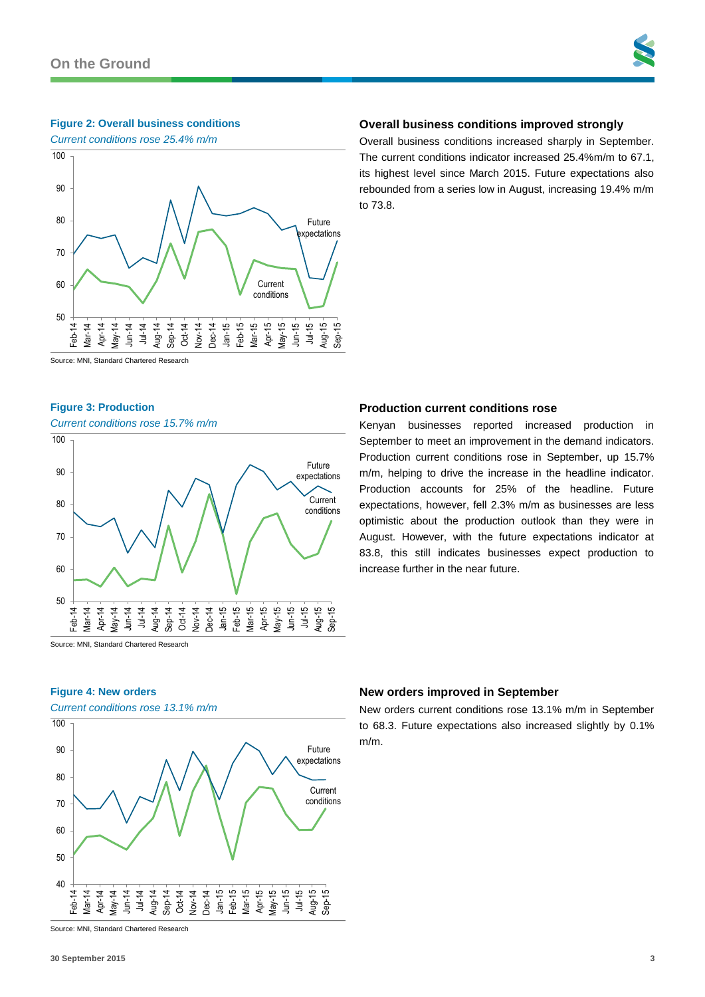## **Figure 2: Overall business conditions**

*Current conditions rose 25.4% m/m*



## **Overall business conditions improved strongly**

Overall business conditions increased sharply in September. The current conditions indicator increased 25.4%m/m to 67.1, its highest level since March 2015. Future expectations also rebounded from a series low in August, increasing 19.4% m/m to 73.8.

Kenyan businesses reported increased production in September to meet an improvement in the demand indicators. Production current conditions rose in September, up 15.7% m/m, helping to drive the increase in the headline indicator. Production accounts for 25% of the headline. Future expectations, however, fell 2.3% m/m as businesses are less optimistic about the production outlook than they were in August. However, with the future expectations indicator at 83.8, this still indicates businesses expect production to

Source: MNI, Standard Chartered Research

#### **Figure 3: Production**

*Current conditions rose 15.7% m/m*



Source: MNI, Standard Chartered Research

## **Figure 4: New orders**

*Current conditions rose 13.1% m/m*



**New orders improved in September**

increase further in the near future.

**Production current conditions rose**

New orders current conditions rose 13.1% m/m in September to 68.3. Future expectations also increased slightly by 0.1% m/m.

Source: MNI, Standard Chartered Research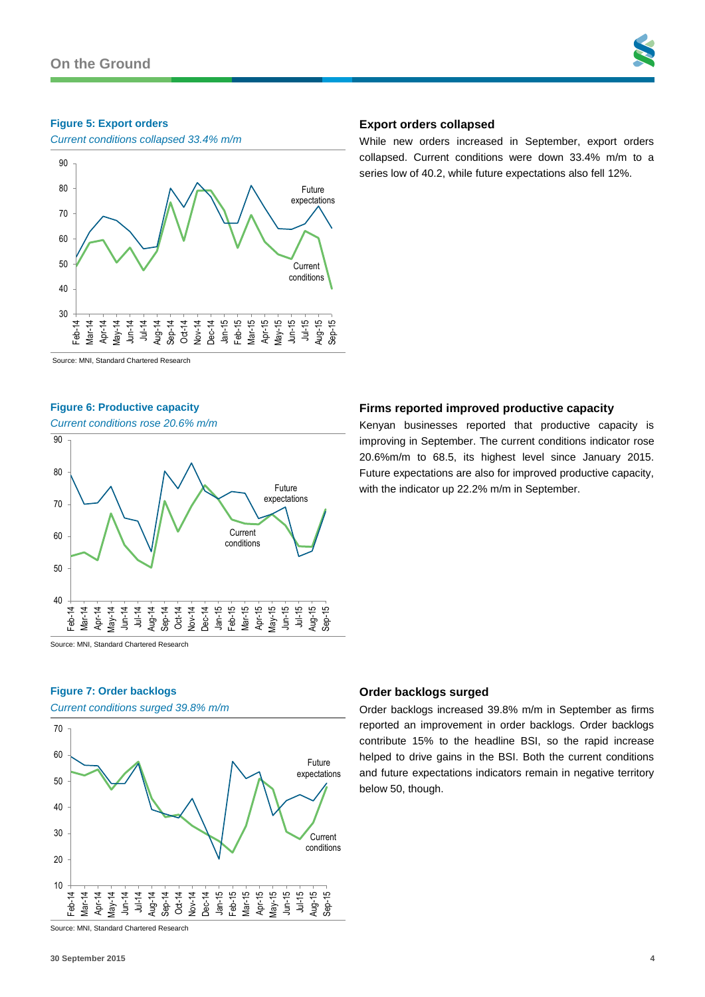#### **Figure 5: Export orders**

*Current conditions collapsed 33.4% m/m*



## **Export orders collapsed**

While new orders increased in September, export orders collapsed. Current conditions were down 33.4% m/m to a series low of 40.2, while future expectations also fell 12%.

Source: MNI, Standard Chartered Research

#### **Figure 6: Productive capacity**

*Current conditions rose 20.6% m/m*



Source: MNI, Standard Chartered Research

## **Figure 7: Order backlogs**

*Current conditions surged 39.8% m/m*



Source: MNI, Standard Chartered Research

## **Firms reported improved productive capacity**

Kenyan businesses reported that productive capacity is improving in September. The current conditions indicator rose 20.6%m/m to 68.5, its highest level since January 2015. Future expectations are also for improved productive capacity, with the indicator up 22.2% m/m in September.

## **Order backlogs surged**

Order backlogs increased 39.8% m/m in September as firms reported an improvement in order backlogs. Order backlogs contribute 15% to the headline BSI, so the rapid increase helped to drive gains in the BSI. Both the current conditions and future expectations indicators remain in negative territory below 50, though.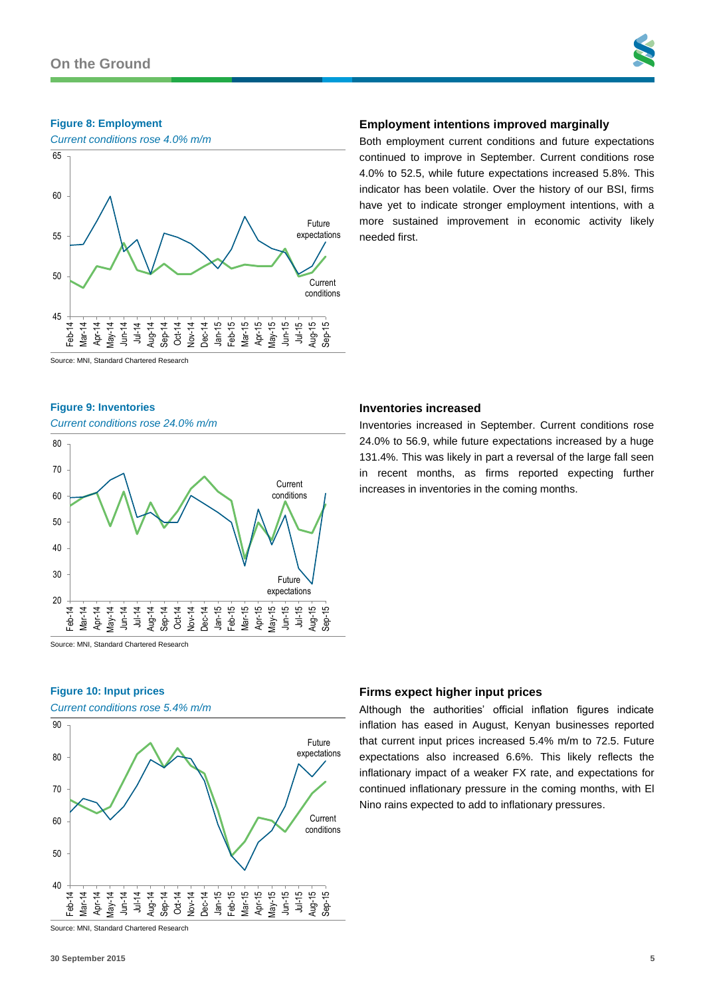#### **Figure 8: Employment**



## **Employment intentions improved marginally**

Both employment current conditions and future expectations continued to improve in September. Current conditions rose 4.0% to 52.5, while future expectations increased 5.8%. This indicator has been volatile. Over the history of our BSI, firms have yet to indicate stronger employment intentions, with a more sustained improvement in economic activity likely needed first.

Source: MNI, Standard Chartered Research

#### **Figure 9: Inventories**

*Current conditions rose 24.0% m/m*



Source: MNI, Standard Chartered Research

## **Figure 10: Input prices**

*Current conditions rose 5.4% m/m*



Source: MNI, Standard Chartered Research

#### **Inventories increased**

Inventories increased in September. Current conditions rose 24.0% to 56.9, while future expectations increased by a huge 131.4%. This was likely in part a reversal of the large fall seen in recent months, as firms reported expecting further increases in inventories in the coming months.

#### **Firms expect higher input prices**

Although the authorities' official inflation figures indicate inflation has eased in August, Kenyan businesses reported that current input prices increased 5.4% m/m to 72.5. Future expectations also increased 6.6%. This likely reflects the inflationary impact of a weaker FX rate, and expectations for continued inflationary pressure in the coming months, with El Nino rains expected to add to inflationary pressures.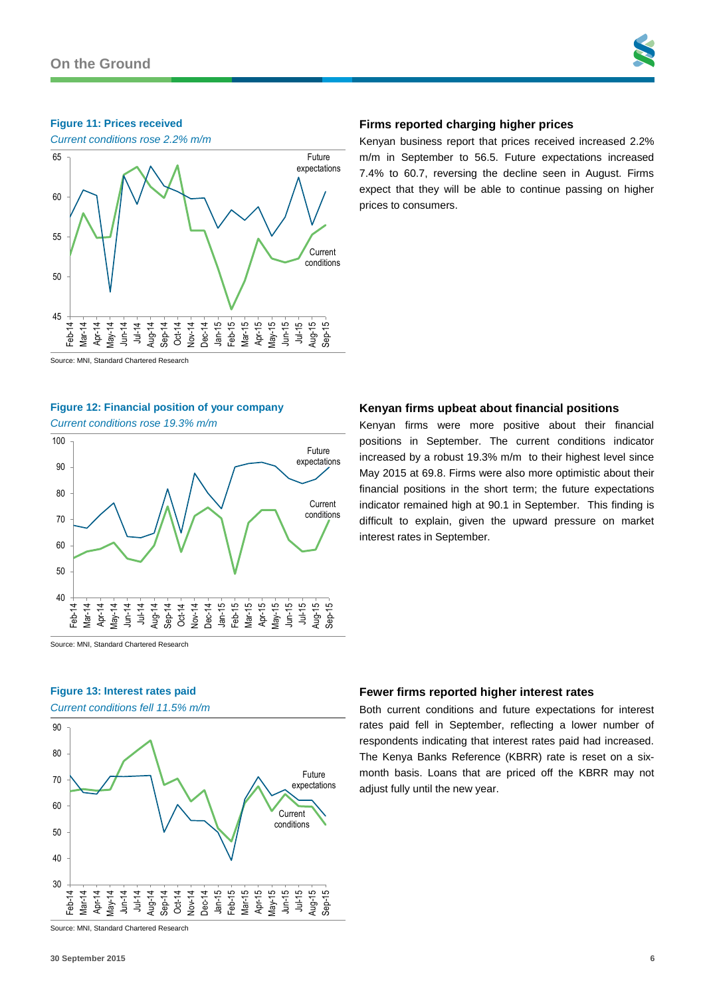#### **Figure 11: Prices received**



## **Firms reported charging higher prices**

Kenyan business report that prices received increased 2.2% m/m in September to 56.5. Future expectations increased 7.4% to 60.7, reversing the decline seen in August. Firms expect that they will be able to continue passing on higher prices to consumers.

Source: MNI, Standard Chartered Research

#### **Figure 12: Financial position of your company**

*Current conditions rose 19.3% m/m*



#### **Kenyan firms upbeat about financial positions**

Kenyan firms were more positive about their financial positions in September. The current conditions indicator increased by a robust 19.3% m/m to their highest level since May 2015 at 69.8. Firms were also more optimistic about their financial positions in the short term; the future expectations indicator remained high at 90.1 in September. This finding is difficult to explain, given the upward pressure on market interest rates in September.

Source: MNI, Standard Chartered Research

## **Figure 13: Interest rates paid**

*Current conditions fell 11.5% m/m*



### **Fewer firms reported higher interest rates**

Both current conditions and future expectations for interest rates paid fell in September, reflecting a lower number of respondents indicating that interest rates paid had increased. The Kenya Banks Reference (KBRR) rate is reset on a sixmonth basis. Loans that are priced off the KBRR may not adjust fully until the new year.

Source: MNI, Standard Chartered Research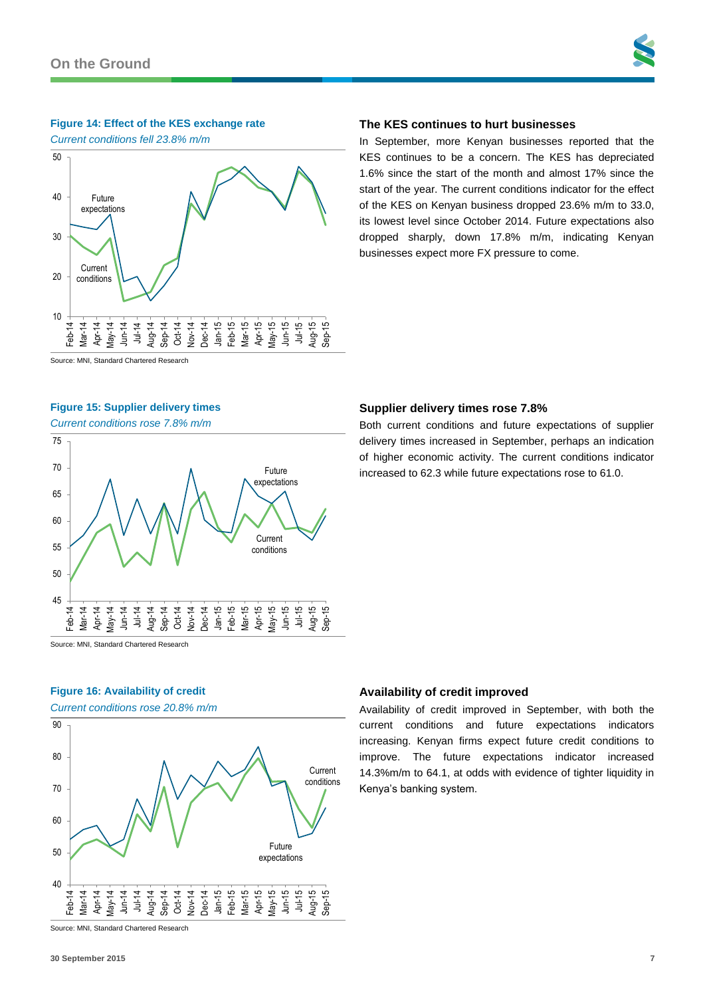#### **Figure 14: Effect of the KES exchange rate**

*Current conditions fell 23.8% m/m*



#### Source: MNI, Standard Chartered Research

#### **Figure 15: Supplier delivery times**

*Current conditions rose 7.8% m/m*



Source: MNI, Standard Chartered Research

## **Figure 16: Availability of credit**

*Current conditions rose 20.8% m/m*



Source: MNI, Standard Chartered Research

#### **The KES continues to hurt businesses**

In September, more Kenyan businesses reported that the KES continues to be a concern. The KES has depreciated 1.6% since the start of the month and almost 17% since the start of the year. The current conditions indicator for the effect of the KES on Kenyan business dropped 23.6% m/m to 33.0, its lowest level since October 2014. Future expectations also dropped sharply, down 17.8% m/m, indicating Kenyan businesses expect more FX pressure to come.

#### **Supplier delivery times rose 7.8%**

Both current conditions and future expectations of supplier delivery times increased in September, perhaps an indication of higher economic activity. The current conditions indicator increased to 62.3 while future expectations rose to 61.0.

#### **Availability of credit improved**

Availability of credit improved in September, with both the current conditions and future expectations indicators increasing. Kenyan firms expect future credit conditions to improve. The future expectations indicator increased 14.3%m/m to 64.1, at odds with evidence of tighter liquidity in Kenya's banking system.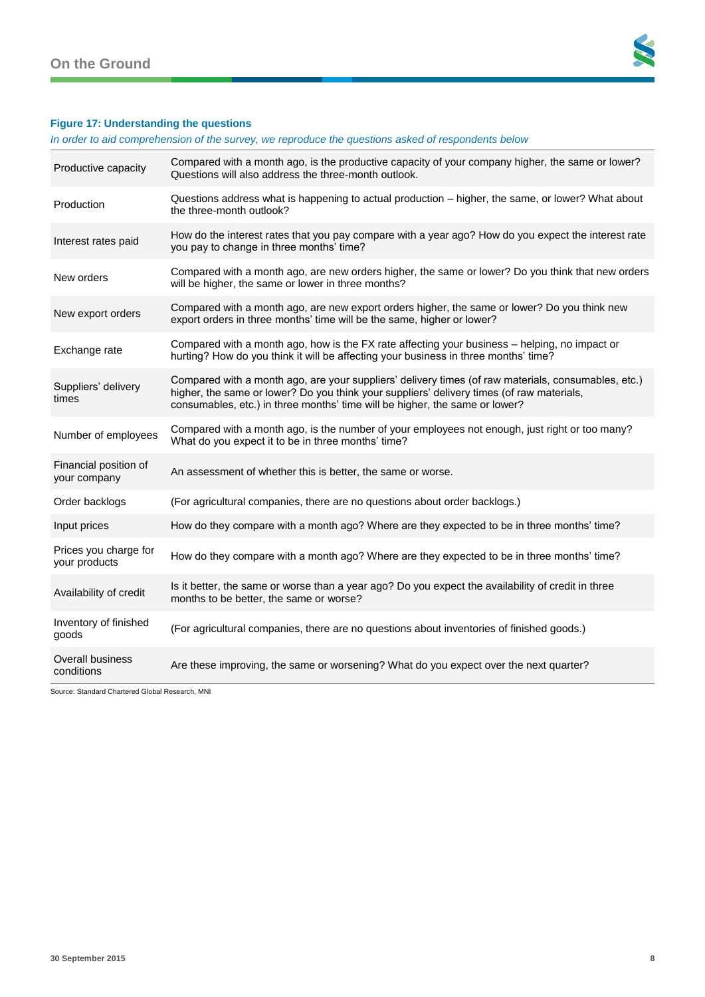

# **Figure 17: Understanding the questions**

*In order to aid comprehension of the survey, we reproduce the questions asked of respondents below*

| Productive capacity                    | Compared with a month ago, is the productive capacity of your company higher, the same or lower?<br>Questions will also address the three-month outlook.                                                                                                                        |
|----------------------------------------|---------------------------------------------------------------------------------------------------------------------------------------------------------------------------------------------------------------------------------------------------------------------------------|
| Production                             | Questions address what is happening to actual production - higher, the same, or lower? What about<br>the three-month outlook?                                                                                                                                                   |
| Interest rates paid                    | How do the interest rates that you pay compare with a year ago? How do you expect the interest rate<br>you pay to change in three months' time?                                                                                                                                 |
| New orders                             | Compared with a month ago, are new orders higher, the same or lower? Do you think that new orders<br>will be higher, the same or lower in three months?                                                                                                                         |
| New export orders                      | Compared with a month ago, are new export orders higher, the same or lower? Do you think new<br>export orders in three months' time will be the same, higher or lower?                                                                                                          |
| Exchange rate                          | Compared with a month ago, how is the FX rate affecting your business - helping, no impact or<br>hurting? How do you think it will be affecting your business in three months' time?                                                                                            |
| Suppliers' delivery<br>times           | Compared with a month ago, are your suppliers' delivery times (of raw materials, consumables, etc.)<br>higher, the same or lower? Do you think your suppliers' delivery times (of raw materials,<br>consumables, etc.) in three months' time will be higher, the same or lower? |
| Number of employees                    | Compared with a month ago, is the number of your employees not enough, just right or too many?<br>What do you expect it to be in three months' time?                                                                                                                            |
| Financial position of<br>your company  | An assessment of whether this is better, the same or worse.                                                                                                                                                                                                                     |
| Order backlogs                         | (For agricultural companies, there are no questions about order backlogs.)                                                                                                                                                                                                      |
| Input prices                           | How do they compare with a month ago? Where are they expected to be in three months' time?                                                                                                                                                                                      |
| Prices you charge for<br>your products | How do they compare with a month ago? Where are they expected to be in three months' time?                                                                                                                                                                                      |
| Availability of credit                 | Is it better, the same or worse than a year ago? Do you expect the availability of credit in three<br>months to be better, the same or worse?                                                                                                                                   |
| Inventory of finished<br>goods         | (For agricultural companies, there are no questions about inventories of finished goods.)                                                                                                                                                                                       |
| <b>Overall business</b><br>conditions  | Are these improving, the same or worsening? What do you expect over the next quarter?                                                                                                                                                                                           |

Source: Standard Chartered Global Research, MNI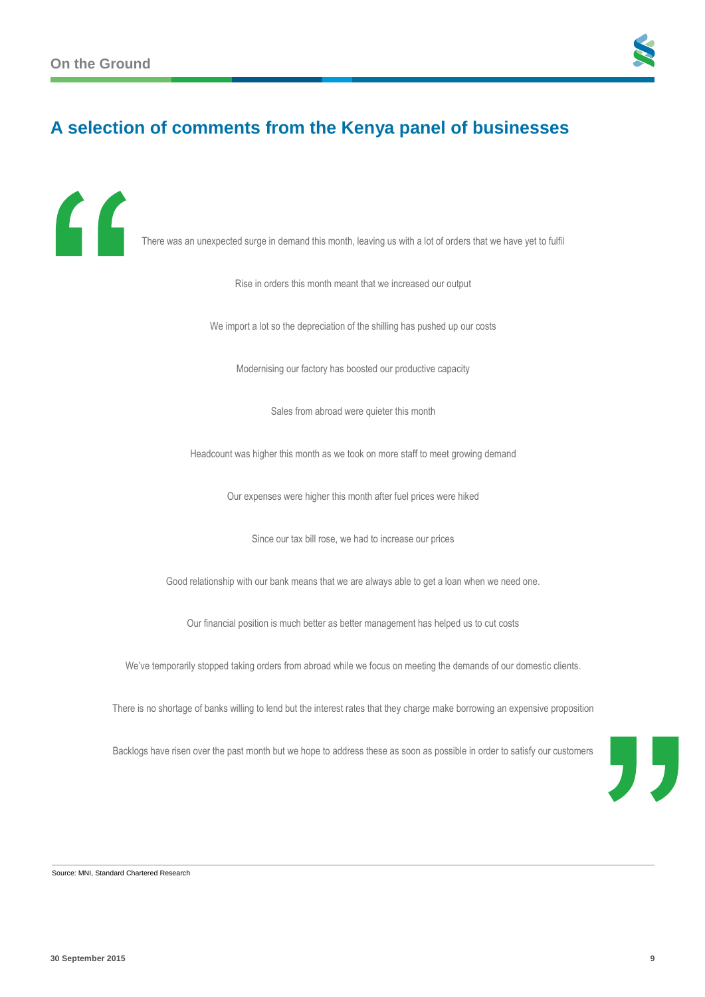$\epsilon$ 



# **A selection of comments from the Kenya panel of businesses**

There was an unexpected surge in demand this month, leaving us with a lot of orders that we have yet to fulfil

Rise in orders this month meant that we increased our output

We import a lot so the depreciation of the shilling has pushed up our costs

Modernising our factory has boosted our productive capacity

Sales from abroad were quieter this month

Headcount was higher this month as we took on more staff to meet growing demand

Our expenses were higher this month after fuel prices were hiked

Since our tax bill rose, we had to increase our prices

Good relationship with our bank means that we are always able to get a loan when we need one.

Our financial position is much better as better management has helped us to cut costs

We've temporarily stopped taking orders from abroad while we focus on meeting the demands of our domestic clients.

There is no shortage of banks willing to lend but the interest rates that they charge make borrowing an expensive proposition

Backlogs have risen over the past month but we hope to address these as soon as possible in order to satisfy our customers



Source: MNI, Standard Chartered Research